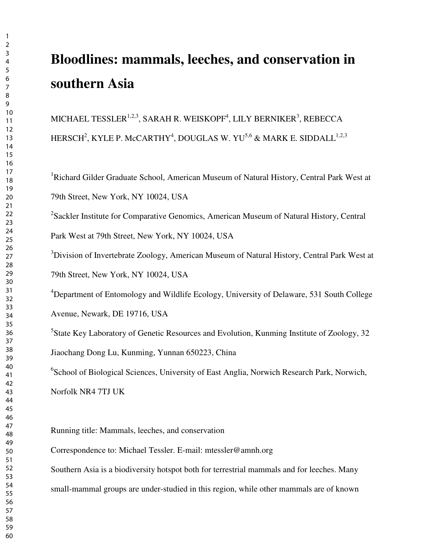# **Bloodlines: mammals, leeches, and conservation in southern Asia**

MICHAEL TESSLER $^{1,2,3},$  SARAH R. WEISKOPF $^4$ , LILY BERNIKER $^3$ , REBECCA HERSCH $^2$ , KYLE P. McCARTHY $^4$ , DOUGLAS W. YU $^{5,6}$  & MARK E. SIDDALL $^{1,2,3}$ 

<sup>1</sup>Richard Gilder Graduate School, American Museum of Natural History, Central Park West at 79th Street, New York, NY 10024, USA

<sup>2</sup>Sackler Institute for Comparative Genomics, American Museum of Natural History, Central Park West at 79th Street, New York, NY 10024, USA

<sup>3</sup>Division of Invertebrate Zoology, American Museum of Natural History, Central Park West at 79th Street, New York, NY 10024, USA

<sup>4</sup>Department of Entomology and Wildlife Ecology, University of Delaware, 531 South College Avenue, Newark, DE 19716, USA

<sup>5</sup>State Key Laboratory of Genetic Resources and Evolution, Kunming Institute of Zoology, 32 Jiaochang Dong Lu, Kunming, Yunnan 650223, China

<sup>6</sup>School of Biological Sciences, University of East Anglia, Norwich Research Park, Norwich, Norfolk NR4 7TJ UK

Running title: Mammals, leeches, and conservation

Correspondence to: Michael Tessler. E-mail: mtessler@amnh.org

Southern Asia is a biodiversity hotspot both for terrestrial mammals and for leeches. Many

small-mammal groups are under-studied in this region, while other mammals are of known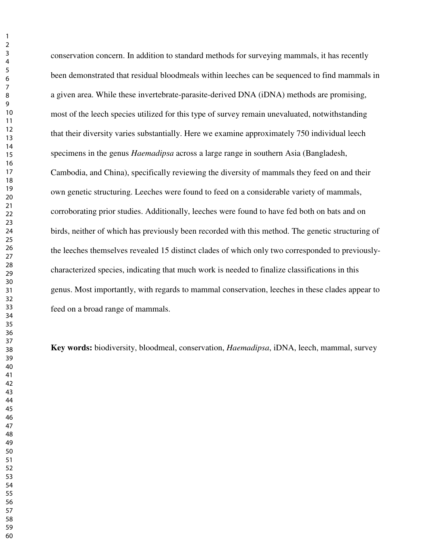conservation concern. In addition to standard methods for surveying mammals, it has recently been demonstrated that residual bloodmeals within leeches can be sequenced to find mammals in a given area. While these invertebrate-parasite-derived DNA (iDNA) methods are promising, most of the leech species utilized for this type of survey remain unevaluated, notwithstanding that their diversity varies substantially. Here we examine approximately 750 individual leech specimens in the genus *Haemadipsa* across a large range in southern Asia (Bangladesh, Cambodia, and China), specifically reviewing the diversity of mammals they feed on and their own genetic structuring. Leeches were found to feed on a considerable variety of mammals, corroborating prior studies. Additionally, leeches were found to have fed both on bats and on birds, neither of which has previously been recorded with this method. The genetic structuring of the leeches themselves revealed 15 distinct clades of which only two corresponded to previouslycharacterized species, indicating that much work is needed to finalize classifications in this genus. Most importantly, with regards to mammal conservation, leeches in these clades appear to feed on a broad range of mammals.

**Key words:** biodiversity, bloodmeal, conservation, *Haemadipsa*, iDNA, leech, mammal, survey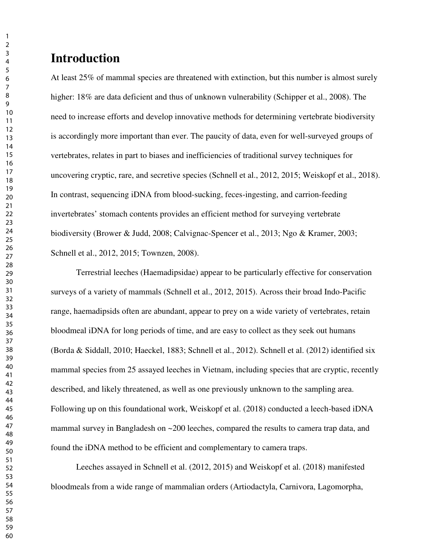## **Introduction**

At least 25% of mammal species are threatened with extinction, but this number is almost surely higher: 18% are data deficient and thus of unknown vulnerability (Schipper et al., 2008). The need to increase efforts and develop innovative methods for determining vertebrate biodiversity is accordingly more important than ever. The paucity of data, even for well-surveyed groups of vertebrates, relates in part to biases and inefficiencies of traditional survey techniques for uncovering cryptic, rare, and secretive species (Schnell et al., 2012, 2015; Weiskopf et al., 2018). In contrast, sequencing iDNA from blood-sucking, feces-ingesting, and carrion-feeding invertebrates' stomach contents provides an efficient method for surveying vertebrate biodiversity (Brower & Judd, 2008; Calvignac-Spencer et al., 2013; Ngo & Kramer, 2003; Schnell et al., 2012, 2015; Townzen, 2008).

Terrestrial leeches (Haemadipsidae) appear to be particularly effective for conservation surveys of a variety of mammals (Schnell et al., 2012, 2015). Across their broad Indo-Pacific range, haemadipsids often are abundant, appear to prey on a wide variety of vertebrates, retain bloodmeal iDNA for long periods of time, and are easy to collect as they seek out humans (Borda & Siddall, 2010; Haeckel, 1883; Schnell et al., 2012). Schnell et al. (2012) identified six mammal species from 25 assayed leeches in Vietnam, including species that are cryptic, recently described, and likely threatened, as well as one previously unknown to the sampling area. Following up on this foundational work, Weiskopf et al. (2018) conducted a leech-based iDNA mammal survey in Bangladesh on ~200 leeches, compared the results to camera trap data, and found the iDNA method to be efficient and complementary to camera traps.

 Leeches assayed in Schnell et al. (2012, 2015) and Weiskopf et al. (2018) manifested bloodmeals from a wide range of mammalian orders (Artiodactyla, Carnivora, Lagomorpha,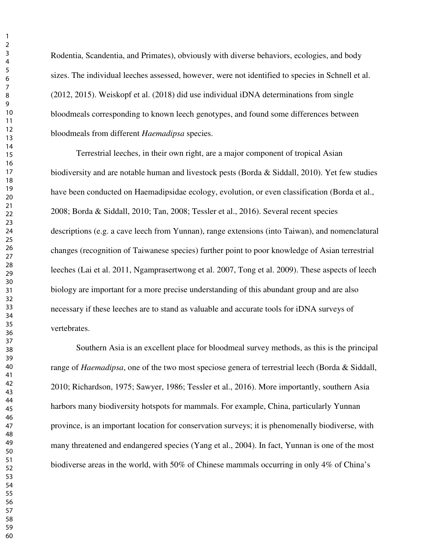Rodentia, Scandentia, and Primates), obviously with diverse behaviors, ecologies, and body sizes. The individual leeches assessed, however, were not identified to species in Schnell et al. (2012, 2015). Weiskopf et al. (2018) did use individual iDNA determinations from single bloodmeals corresponding to known leech genotypes, and found some differences between bloodmeals from different *Haemadipsa* species.

Terrestrial leeches, in their own right, are a major component of tropical Asian biodiversity and are notable human and livestock pests (Borda & Siddall, 2010). Yet few studies have been conducted on Haemadipsidae ecology, evolution, or even classification (Borda et al., 2008; Borda & Siddall, 2010; Tan, 2008; Tessler et al., 2016). Several recent species descriptions (e.g. a cave leech from Yunnan), range extensions (into Taiwan), and nomenclatural changes (recognition of Taiwanese species) further point to poor knowledge of Asian terrestrial leeches (Lai et al. 2011, Ngamprasertwong et al. 2007, Tong et al. 2009). These aspects of leech biology are important for a more precise understanding of this abundant group and are also necessary if these leeches are to stand as valuable and accurate tools for iDNA surveys of vertebrates.

Southern Asia is an excellent place for bloodmeal survey methods, as this is the principal range of *Haemadipsa*, one of the two most speciose genera of terrestrial leech (Borda & Siddall, 2010; Richardson, 1975; Sawyer, 1986; Tessler et al., 2016). More importantly, southern Asia harbors many biodiversity hotspots for mammals. For example, China, particularly Yunnan province, is an important location for conservation surveys; it is phenomenally biodiverse, with many threatened and endangered species (Yang et al., 2004). In fact, Yunnan is one of the most biodiverse areas in the world, with 50% of Chinese mammals occurring in only 4% of China's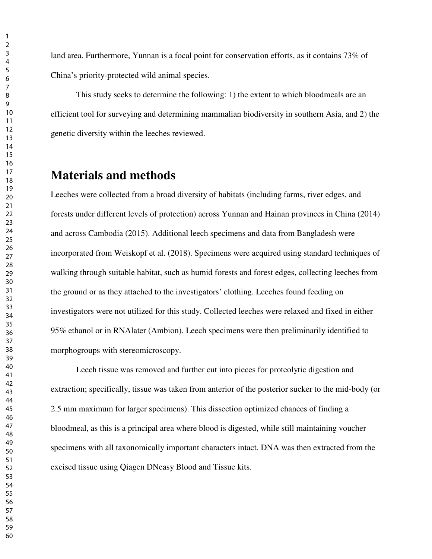land area. Furthermore, Yunnan is a focal point for conservation efforts, as it contains 73% of China's priority-protected wild animal species.

This study seeks to determine the following: 1) the extent to which bloodmeals are an efficient tool for surveying and determining mammalian biodiversity in southern Asia, and 2) the genetic diversity within the leeches reviewed.

## **Materials and methods**

Leeches were collected from a broad diversity of habitats (including farms, river edges, and forests under different levels of protection) across Yunnan and Hainan provinces in China (2014) and across Cambodia (2015). Additional leech specimens and data from Bangladesh were incorporated from Weiskopf et al. (2018). Specimens were acquired using standard techniques of walking through suitable habitat, such as humid forests and forest edges, collecting leeches from the ground or as they attached to the investigators' clothing. Leeches found feeding on investigators were not utilized for this study. Collected leeches were relaxed and fixed in either 95% ethanol or in RNAlater (Ambion). Leech specimens were then preliminarily identified to morphogroups with stereomicroscopy.

Leech tissue was removed and further cut into pieces for proteolytic digestion and extraction; specifically, tissue was taken from anterior of the posterior sucker to the mid-body (or 2.5 mm maximum for larger specimens). This dissection optimized chances of finding a bloodmeal, as this is a principal area where blood is digested, while still maintaining voucher specimens with all taxonomically important characters intact. DNA was then extracted from the excised tissue using Qiagen DNeasy Blood and Tissue kits.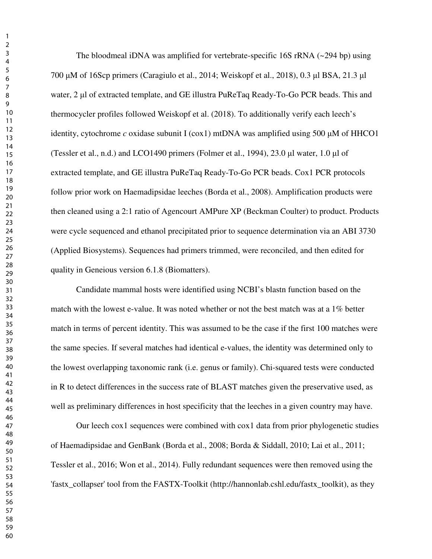The bloodmeal iDNA was amplified for vertebrate-specific 16S rRNA  $(\sim 294$  bp) using µM of 16Scp primers (Caragiulo et al., 2014; Weiskopf et al., 2018), 0.3 µl BSA, 21.3 µl water, 2 µl of extracted template, and GE illustra PuReTaq Ready-To-Go PCR beads. This and thermocycler profiles followed Weiskopf et al. (2018). To additionally verify each leech's identity, cytochrome *c* oxidase subunit I ( $\cos 1$ ) mtDNA was amplified using 500  $\mu$ M of HHCO1 (Tessler et al., n.d.) and LCO1490 primers (Folmer et al., 1994),  $23.0 \mu$ l water, 1.0  $\mu$ l of extracted template, and GE illustra PuReTaq Ready-To-Go PCR beads. Cox1 PCR protocols follow prior work on Haemadipsidae leeches (Borda et al., 2008). Amplification products were then cleaned using a 2:1 ratio of Agencourt AMPure XP (Beckman Coulter) to product. Products were cycle sequenced and ethanol precipitated prior to sequence determination via an ABI 3730 (Applied Biosystems). Sequences had primers trimmed, were reconciled, and then edited for quality in Geneious version 6.1.8 (Biomatters).

Candidate mammal hosts were identified using NCBI's blastn function based on the match with the lowest e-value. It was noted whether or not the best match was at a 1% better match in terms of percent identity. This was assumed to be the case if the first 100 matches were the same species. If several matches had identical e-values, the identity was determined only to the lowest overlapping taxonomic rank (i.e. genus or family). Chi-squared tests were conducted in R to detect differences in the success rate of BLAST matches given the preservative used, as well as preliminary differences in host specificity that the leeches in a given country may have.

Our leech cox1 sequences were combined with cox1 data from prior phylogenetic studies of Haemadipsidae and GenBank (Borda et al., 2008; Borda & Siddall, 2010; Lai et al., 2011; Tessler et al., 2016; Won et al., 2014). Fully redundant sequences were then removed using the 'fastx\_collapser' tool from the FASTX-Toolkit (http://hannonlab.cshl.edu/fastx\_toolkit), as they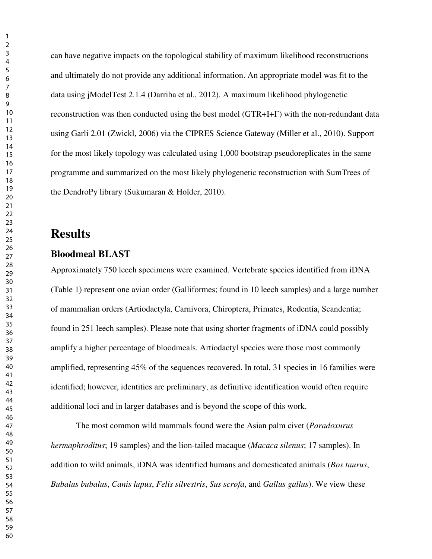can have negative impacts on the topological stability of maximum likelihood reconstructions and ultimately do not provide any additional information. An appropriate model was fit to the data using jModelTest 2.1.4 (Darriba et al., 2012). A maximum likelihood phylogenetic reconstruction was then conducted using the best model (GTR+I+Γ) with the non-redundant data using Garli 2.01 (Zwickl, 2006) via the CIPRES Science Gateway (Miller et al., 2010). Support for the most likely topology was calculated using 1,000 bootstrap pseudoreplicates in the same programme and summarized on the most likely phylogenetic reconstruction with SumTrees of the DendroPy library (Sukumaran & Holder, 2010).

## **Results**

#### **Bloodmeal BLAST**

Approximately 750 leech specimens were examined. Vertebrate species identified from iDNA (Table 1) represent one avian order (Galliformes; found in 10 leech samples) and a large number of mammalian orders (Artiodactyla, Carnivora, Chiroptera, Primates, Rodentia, Scandentia; found in 251 leech samples). Please note that using shorter fragments of iDNA could possibly amplify a higher percentage of bloodmeals. Artiodactyl species were those most commonly amplified, representing 45% of the sequences recovered. In total, 31 species in 16 families were identified; however, identities are preliminary, as definitive identification would often require additional loci and in larger databases and is beyond the scope of this work.

The most common wild mammals found were the Asian palm civet (*Paradoxurus hermaphroditus*; 19 samples) and the lion-tailed macaque (*Macaca silenus*; 17 samples). In addition to wild animals, iDNA was identified humans and domesticated animals (*Bos taurus*, *Bubalus bubalus*, *Canis lupus*, *Felis silvestris*, *Sus scrofa*, and *Gallus gallus*). We view these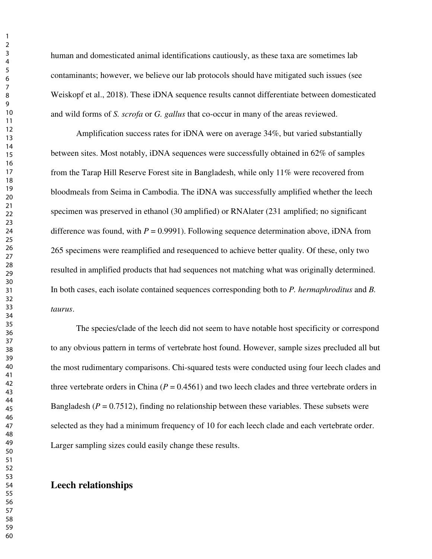human and domesticated animal identifications cautiously, as these taxa are sometimes lab contaminants; however, we believe our lab protocols should have mitigated such issues (see Weiskopf et al., 2018). These iDNA sequence results cannot differentiate between domesticated and wild forms of *S. scrofa* or *G. gallus* that co-occur in many of the areas reviewed.

Amplification success rates for iDNA were on average 34%, but varied substantially between sites. Most notably, iDNA sequences were successfully obtained in 62% of samples from the Tarap Hill Reserve Forest site in Bangladesh, while only 11% were recovered from bloodmeals from Seima in Cambodia. The iDNA was successfully amplified whether the leech specimen was preserved in ethanol (30 amplified) or RNAlater (231 amplified; no significant difference was found, with  $P = 0.9991$ . Following sequence determination above, iDNA from 265 specimens were reamplified and resequenced to achieve better quality. Of these, only two resulted in amplified products that had sequences not matching what was originally determined. In both cases, each isolate contained sequences corresponding both to *P. hermaphroditus* and *B. taurus*.

The species/clade of the leech did not seem to have notable host specificity or correspond to any obvious pattern in terms of vertebrate host found. However, sample sizes precluded all but the most rudimentary comparisons. Chi-squared tests were conducted using four leech clades and three vertebrate orders in China ( $P = 0.4561$ ) and two leech clades and three vertebrate orders in Bangladesh ( $P = 0.7512$ ), finding no relationship between these variables. These subsets were selected as they had a minimum frequency of 10 for each leech clade and each vertebrate order. Larger sampling sizes could easily change these results.

#### **Leech relationships**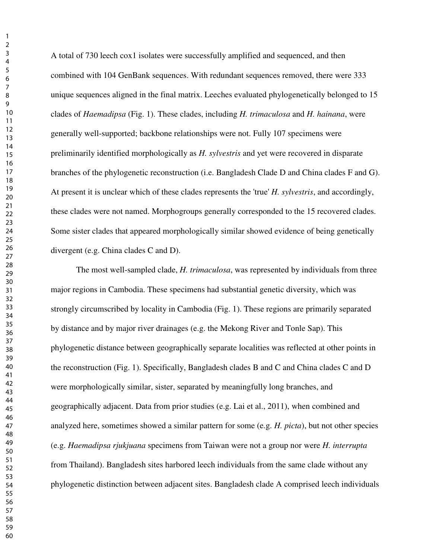A total of 730 leech cox1 isolates were successfully amplified and sequenced, and then combined with 104 GenBank sequences. With redundant sequences removed, there were 333 unique sequences aligned in the final matrix. Leeches evaluated phylogenetically belonged to 15 clades of *Haemadipsa* (Fig. 1). These clades, including *H. trimaculosa* and *H. hainana*, were generally well-supported; backbone relationships were not. Fully 107 specimens were preliminarily identified morphologically as *H. sylvestris* and yet were recovered in disparate branches of the phylogenetic reconstruction (i.e. Bangladesh Clade D and China clades F and G). At present it is unclear which of these clades represents the 'true' *H. sylvestris*, and accordingly, these clades were not named. Morphogroups generally corresponded to the 15 recovered clades. Some sister clades that appeared morphologically similar showed evidence of being genetically divergent (e.g. China clades C and D).

The most well-sampled clade, *H. trimaculosa*, was represented by individuals from three major regions in Cambodia. These specimens had substantial genetic diversity, which was strongly circumscribed by locality in Cambodia (Fig. 1). These regions are primarily separated by distance and by major river drainages (e.g. the Mekong River and Tonle Sap). This phylogenetic distance between geographically separate localities was reflected at other points in the reconstruction (Fig. 1). Specifically, Bangladesh clades B and C and China clades C and D were morphologically similar, sister, separated by meaningfully long branches, and geographically adjacent. Data from prior studies (e.g. Lai et al., 2011), when combined and analyzed here, sometimes showed a similar pattern for some (e.g. *H. picta*), but not other species (e.g. *Haemadipsa rjukjuana* specimens from Taiwan were not a group nor were *H. interrupta*  from Thailand). Bangladesh sites harbored leech individuals from the same clade without any phylogenetic distinction between adjacent sites. Bangladesh clade A comprised leech individuals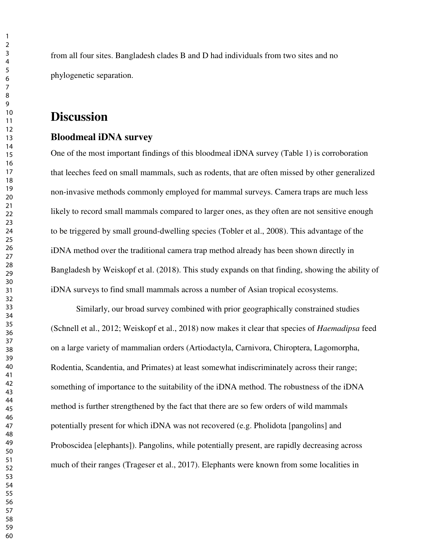from all four sites. Bangladesh clades B and D had individuals from two sites and no phylogenetic separation.

#### **Discussion**

#### **Bloodmeal iDNA survey**

One of the most important findings of this bloodmeal iDNA survey (Table 1) is corroboration that leeches feed on small mammals, such as rodents, that are often missed by other generalized non-invasive methods commonly employed for mammal surveys. Camera traps are much less likely to record small mammals compared to larger ones, as they often are not sensitive enough to be triggered by small ground-dwelling species (Tobler et al., 2008). This advantage of the iDNA method over the traditional camera trap method already has been shown directly in Bangladesh by Weiskopf et al. (2018). This study expands on that finding, showing the ability of iDNA surveys to find small mammals across a number of Asian tropical ecosystems.

Similarly, our broad survey combined with prior geographically constrained studies (Schnell et al., 2012; Weiskopf et al., 2018) now makes it clear that species of *Haemadipsa* feed on a large variety of mammalian orders (Artiodactyla, Carnivora, Chiroptera, Lagomorpha, Rodentia, Scandentia, and Primates) at least somewhat indiscriminately across their range; something of importance to the suitability of the iDNA method. The robustness of the iDNA method is further strengthened by the fact that there are so few orders of wild mammals potentially present for which iDNA was not recovered (e.g. Pholidota [pangolins] and Proboscidea [elephants]). Pangolins, while potentially present, are rapidly decreasing across much of their ranges (Trageser et al., 2017). Elephants were known from some localities in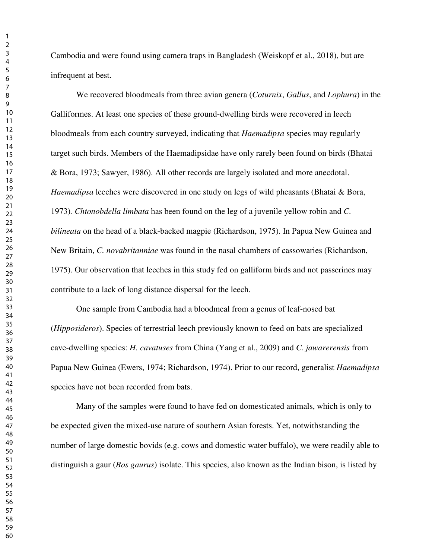Cambodia and were found using camera traps in Bangladesh (Weiskopf et al., 2018), but are infrequent at best.

We recovered bloodmeals from three avian genera (*Coturnix*, *Gallus*, and *Lophura*) in the Galliformes. At least one species of these ground-dwelling birds were recovered in leech bloodmeals from each country surveyed, indicating that *Haemadipsa* species may regularly target such birds. Members of the Haemadipsidae have only rarely been found on birds (Bhatai & Bora, 1973; Sawyer, 1986). All other records are largely isolated and more anecdotal. *Haemadipsa* leeches were discovered in one study on legs of wild pheasants (Bhatai & Bora, 1973)*. Chtonobdella limbata* has been found on the leg of a juvenile yellow robin and *C. bilineata* on the head of a black-backed magpie (Richardson, 1975). In Papua New Guinea and New Britain, *C. novabritanniae* was found in the nasal chambers of cassowaries (Richardson, 1975). Our observation that leeches in this study fed on galliform birds and not passerines may contribute to a lack of long distance dispersal for the leech.

One sample from Cambodia had a bloodmeal from a genus of leaf-nosed bat (*Hipposideros*). Species of terrestrial leech previously known to feed on bats are specialized cave-dwelling species: *H. cavatuses* from China (Yang et al., 2009) and *C. jawarerensis* from Papua New Guinea (Ewers, 1974; Richardson, 1974). Prior to our record, generalist *Haemadipsa*  species have not been recorded from bats.

Many of the samples were found to have fed on domesticated animals, which is only to be expected given the mixed-use nature of southern Asian forests. Yet, notwithstanding the number of large domestic bovids (e.g. cows and domestic water buffalo), we were readily able to distinguish a gaur (*Bos gaurus*) isolate. This species, also known as the Indian bison, is listed by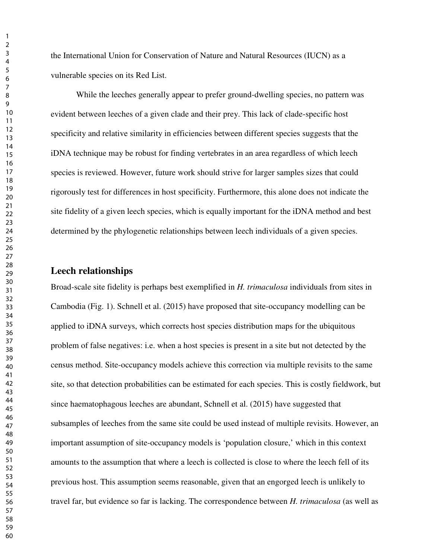the International Union for Conservation of Nature and Natural Resources (IUCN) as a vulnerable species on its Red List.

While the leeches generally appear to prefer ground-dwelling species, no pattern was evident between leeches of a given clade and their prey. This lack of clade-specific host specificity and relative similarity in efficiencies between different species suggests that the iDNA technique may be robust for finding vertebrates in an area regardless of which leech species is reviewed. However, future work should strive for larger samples sizes that could rigorously test for differences in host specificity. Furthermore, this alone does not indicate the site fidelity of a given leech species, which is equally important for the iDNA method and best determined by the phylogenetic relationships between leech individuals of a given species.

#### **Leech relationships**

Broad-scale site fidelity is perhaps best exemplified in *H. trimaculosa* individuals from sites in Cambodia (Fig. 1). Schnell et al. (2015) have proposed that site-occupancy modelling can be applied to iDNA surveys, which corrects host species distribution maps for the ubiquitous problem of false negatives: i.e. when a host species is present in a site but not detected by the census method. Site-occupancy models achieve this correction via multiple revisits to the same site, so that detection probabilities can be estimated for each species. This is costly fieldwork, but since haematophagous leeches are abundant, Schnell et al. (2015) have suggested that subsamples of leeches from the same site could be used instead of multiple revisits. However, an important assumption of site-occupancy models is 'population closure,' which in this context amounts to the assumption that where a leech is collected is close to where the leech fell of its previous host. This assumption seems reasonable, given that an engorged leech is unlikely to travel far, but evidence so far is lacking. The correspondence between *H. trimaculosa* (as well as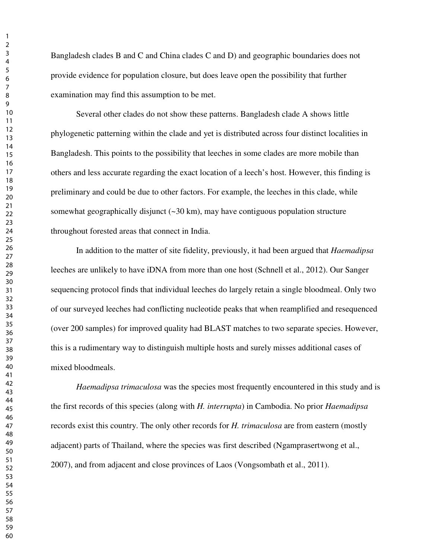Bangladesh clades B and C and China clades C and D) and geographic boundaries does not provide evidence for population closure, but does leave open the possibility that further examination may find this assumption to be met.

Several other clades do not show these patterns. Bangladesh clade A shows little phylogenetic patterning within the clade and yet is distributed across four distinct localities in Bangladesh. This points to the possibility that leeches in some clades are more mobile than others and less accurate regarding the exact location of a leech's host. However, this finding is preliminary and could be due to other factors. For example, the leeches in this clade, while somewhat geographically disjunct  $(\sim 30 \text{ km})$ , may have contiguous population structure throughout forested areas that connect in India.

In addition to the matter of site fidelity, previously, it had been argued that *Haemadipsa* leeches are unlikely to have iDNA from more than one host (Schnell et al., 2012). Our Sanger sequencing protocol finds that individual leeches do largely retain a single bloodmeal. Only two of our surveyed leeches had conflicting nucleotide peaks that when reamplified and resequenced (over 200 samples) for improved quality had BLAST matches to two separate species. However, this is a rudimentary way to distinguish multiple hosts and surely misses additional cases of mixed bloodmeals.

*Haemadipsa trimaculosa* was the species most frequently encountered in this study and is the first records of this species (along with *H. interrupta*) in Cambodia. No prior *Haemadipsa*  records exist this country. The only other records for *H. trimaculosa* are from eastern (mostly adjacent) parts of Thailand, where the species was first described (Ngamprasertwong et al., 2007), and from adjacent and close provinces of Laos (Vongsombath et al., 2011).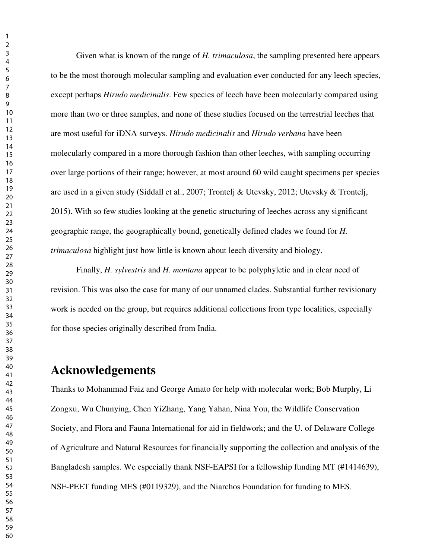Given what is known of the range of *H. trimaculosa*, the sampling presented here appears to be the most thorough molecular sampling and evaluation ever conducted for any leech species, except perhaps *Hirudo medicinalis*. Few species of leech have been molecularly compared using more than two or three samples, and none of these studies focused on the terrestrial leeches that are most useful for iDNA surveys. *Hirudo medicinalis* and *Hirudo verbana* have been molecularly compared in a more thorough fashion than other leeches, with sampling occurring over large portions of their range; however, at most around 60 wild caught specimens per species are used in a given study (Siddall et al., 2007; Trontelj & Utevsky, 2012; Utevsky & Trontelj, 2015). With so few studies looking at the genetic structuring of leeches across any significant geographic range, the geographically bound, genetically defined clades we found for *H. trimaculosa* highlight just how little is known about leech diversity and biology.

Finally, *H. sylvestris* and *H. montana* appear to be polyphyletic and in clear need of revision. This was also the case for many of our unnamed clades. Substantial further revisionary work is needed on the group, but requires additional collections from type localities, especially for those species originally described from India.

## **Acknowledgements**

Thanks to Mohammad Faiz and George Amato for help with molecular work; Bob Murphy, Li Zongxu, Wu Chunying, Chen YiZhang, Yang Yahan, Nina You, the Wildlife Conservation Society, and Flora and Fauna International for aid in fieldwork; and the U. of Delaware College of Agriculture and Natural Resources for financially supporting the collection and analysis of the Bangladesh samples. We especially thank NSF-EAPSI for a fellowship funding MT (#1414639), NSF-PEET funding MES (#0119329), and the Niarchos Foundation for funding to MES.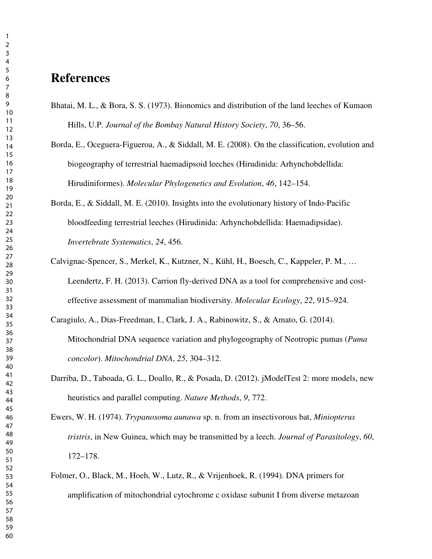## **References**

- Bhatai, M. L., & Bora, S. S. (1973). Bionomics and distribution of the land leeches of Kumaon Hills, U.P. *Journal of the Bombay Natural History Society*, *70*, 36–56.
- Borda, E., Oceguera-Figueroa, A., & Siddall, M. E. (2008). On the classification, evolution and biogeography of terrestrial haemadipsoid leeches (Hirudinida: Arhynchobdellida: Hirudiniformes). *Molecular Phylogenetics and Evolution*, *46*, 142–154.
- Borda, E., & Siddall, M. E. (2010). Insights into the evolutionary history of Indo-Pacific bloodfeeding terrestrial leeches (Hirudinida: Arhynchobdellida: Haemadipsidae). *Invertebrate Systematics*, *24*, 456.
- Calvignac-Spencer, S., Merkel, K., Kutzner, N., Kühl, H., Boesch, C., Kappeler, P. M., … Leendertz, F. H. (2013). Carrion fly-derived DNA as a tool for comprehensive and costeffective assessment of mammalian biodiversity. *Molecular Ecology*, *22*, 915–924.
- Caragiulo, A., Dias-Freedman, I., Clark, J. A., Rabinowitz, S., & Amato, G. (2014). Mitochondrial DNA sequence variation and phylogeography of Neotropic pumas (*Puma concolor*). *Mitochondrial DNA*, *25*, 304–312.
- Darriba, D., Taboada, G. L., Doallo, R., & Posada, D. (2012). jModelTest 2: more models, new heuristics and parallel computing. *Nature Methods*, *9*, 772.
- Ewers, W. H. (1974). *Trypanosoma aunawa* sp. n. from an insectivorous bat, *Miniopterus tristris*, in New Guinea, which may be transmitted by a leech. *Journal of Parasitology*, *60*, 172–178.
- Folmer, O., Black, M., Hoeh, W., Lutz, R., & Vrijenhoek, R. (1994). DNA primers for amplification of mitochondrial cytochrome c oxidase subunit I from diverse metazoan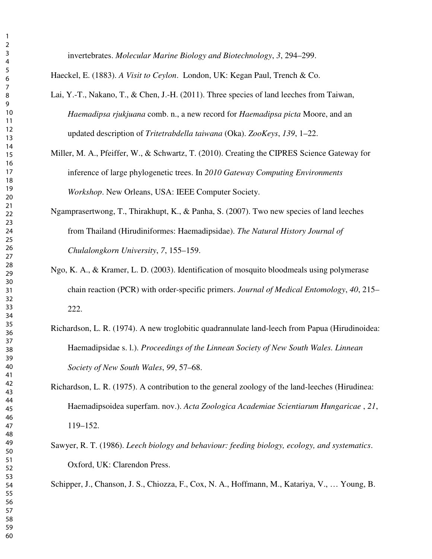invertebrates. *Molecular Marine Biology and Biotechnology*, *3*, 294–299.

Haeckel, E. (1883). *A Visit to Ceylon*. London, UK: Kegan Paul, Trench & Co.

- Lai, Y.-T., Nakano, T., & Chen, J.-H. (2011). Three species of land leeches from Taiwan, *Haemadipsa rjukjuana* comb. n., a new record for *Haemadipsa picta* Moore, and an updated description of *Tritetrabdella taiwana* (Oka). *ZooKeys*, *139*, 1–22.
- Miller, M. A., Pfeiffer, W., & Schwartz, T. (2010). Creating the CIPRES Science Gateway for inference of large phylogenetic trees. In *2010 Gateway Computing Environments Workshop*. New Orleans, USA: IEEE Computer Society.
- Ngamprasertwong, T., Thirakhupt, K., & Panha, S. (2007). Two new species of land leeches from Thailand (Hirudiniformes: Haemadipsidae). *The Natural History Journal of Chulalongkorn University*, *7*, 155–159.
- Ngo, K. A., & Kramer, L. D. (2003). Identification of mosquito bloodmeals using polymerase chain reaction (PCR) with order-specific primers. *Journal of Medical Entomology*, *40*, 215– 222.
- Richardson, L. R. (1974). A new troglobitic quadrannulate land-leech from Papua (Hirudinoidea: Haemadipsidae s. l.). *Proceedings of the Linnean Society of New South Wales. Linnean Society of New South Wales*, *99*, 57–68.
- Richardson, L. R. (1975). A contribution to the general zoology of the land-leeches (Hirudinea: Haemadipsoidea superfam. nov.). *Acta Zoologica Academiae Scientiarum Hungaricae* , *21*, 119–152.
- Sawyer, R. T. (1986). *Leech biology and behaviour: feeding biology, ecology, and systematics*. Oxford, UK: Clarendon Press.

Schipper, J., Chanson, J. S., Chiozza, F., Cox, N. A., Hoffmann, M., Katariya, V., … Young, B.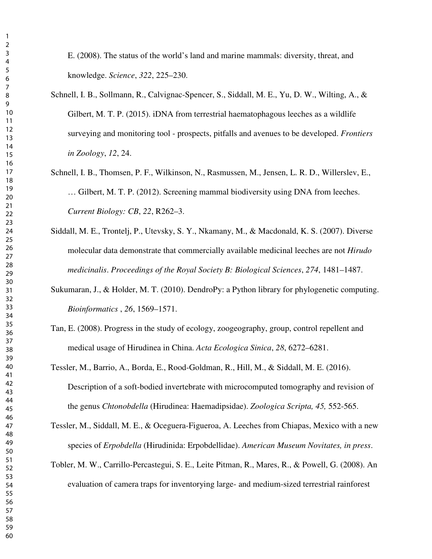E. (2008). The status of the world's land and marine mammals: diversity, threat, and knowledge. *Science*, *322*, 225–230.

- Schnell, I. B., Sollmann, R., Calvignac-Spencer, S., Siddall, M. E., Yu, D. W., Wilting, A., & Gilbert, M. T. P. (2015). iDNA from terrestrial haematophagous leeches as a wildlife surveying and monitoring tool - prospects, pitfalls and avenues to be developed. *Frontiers in Zoology*, *12*, 24.
- Schnell, I. B., Thomsen, P. F., Wilkinson, N., Rasmussen, M., Jensen, L. R. D., Willerslev, E., … Gilbert, M. T. P. (2012). Screening mammal biodiversity using DNA from leeches. *Current Biology: CB*, *22*, R262–3.
- Siddall, M. E., Trontelj, P., Utevsky, S. Y., Nkamany, M., & Macdonald, K. S. (2007). Diverse molecular data demonstrate that commercially available medicinal leeches are not *Hirudo medicinalis*. *Proceedings of the Royal Society B: Biological Sciences*, *274*, 1481–1487.
- Sukumaran, J., & Holder, M. T. (2010). DendroPy: a Python library for phylogenetic computing. *Bioinformatics* , *26*, 1569–1571.
- Tan, E. (2008). Progress in the study of ecology, zoogeography, group, control repellent and medical usage of Hirudinea in China. *Acta Ecologica Sinica*, *28*, 6272–6281.
- Tessler, M., Barrio, A., Borda, E., Rood-Goldman, R., Hill, M., & Siddall, M. E. (2016). Description of a soft-bodied invertebrate with microcomputed tomography and revision of the genus *Chtonobdella* (Hirudinea: Haemadipsidae). *Zoologica Scripta, 45,* 552-565.
- Tessler, M., Siddall, M. E., & Oceguera-Figueroa, A. Leeches from Chiapas, Mexico with a new species of *Erpobdella* (Hirudinida: Erpobdellidae). *American Museum Novitates, in press*.
- Tobler, M. W., Carrillo-Percastegui, S. E., Leite Pitman, R., Mares, R., & Powell, G. (2008). An evaluation of camera traps for inventorying large- and medium-sized terrestrial rainforest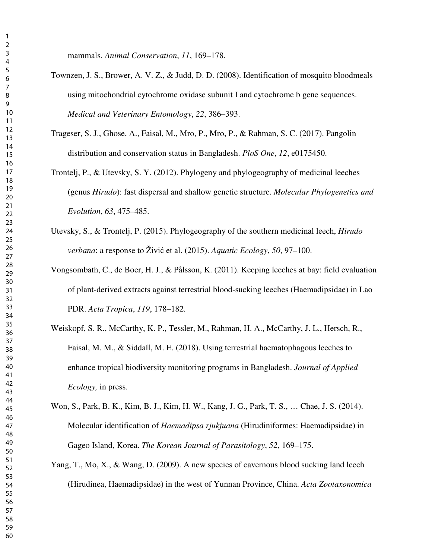mammals. *Animal Conservation*, *11*, 169–178.

- Townzen, J. S., Brower, A. V. Z., & Judd, D. D. (2008). Identification of mosquito bloodmeals using mitochondrial cytochrome oxidase subunit I and cytochrome b gene sequences. *Medical and Veterinary Entomology*, *22*, 386–393.
- Trageser, S. J., Ghose, A., Faisal, M., Mro, P., Mro, P., & Rahman, S. C. (2017). Pangolin distribution and conservation status in Bangladesh. *PloS One*, *12*, e0175450.
- Trontelj, P., & Utevsky, S. Y. (2012). Phylogeny and phylogeography of medicinal leeches (genus *Hirudo*): fast dispersal and shallow genetic structure. *Molecular Phylogenetics and Evolution*, *63*, 475–485.
- Utevsky, S., & Trontelj, P. (2015). Phylogeography of the southern medicinal leech, *Hirudo verbana*: a response to Živić et al. (2015). *Aquatic Ecology*, *50*, 97–100.
- Vongsombath, C., de Boer, H. J., & Pålsson, K. (2011). Keeping leeches at bay: field evaluation of plant-derived extracts against terrestrial blood-sucking leeches (Haemadipsidae) in Lao PDR. *Acta Tropica*, *119*, 178–182.
- Weiskopf, S. R., McCarthy, K. P., Tessler, M., Rahman, H. A., McCarthy, J. L., Hersch, R., Faisal, M. M., & Siddall, M. E. (2018). Using terrestrial haematophagous leeches to enhance tropical biodiversity monitoring programs in Bangladesh. *Journal of Applied Ecology,* in press.
- Won, S., Park, B. K., Kim, B. J., Kim, H. W., Kang, J. G., Park, T. S., … Chae, J. S. (2014). Molecular identification of *Haemadipsa rjukjuana* (Hirudiniformes: Haemadipsidae) in Gageo Island, Korea. *The Korean Journal of Parasitology*, *52*, 169–175.
- Yang, T., Mo, X., & Wang, D. (2009). A new species of cavernous blood sucking land leech (Hirudinea, Haemadipsidae) in the west of Yunnan Province, China. *Acta Zootaxonomica*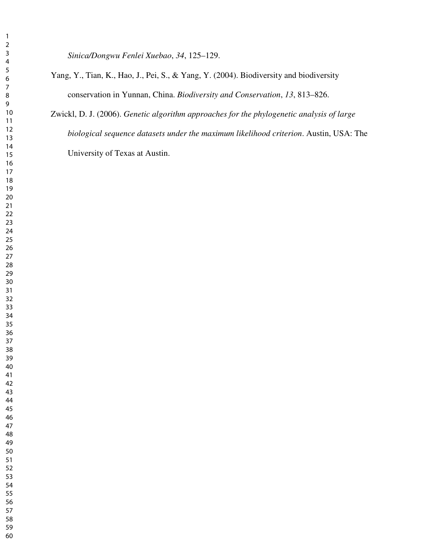*Sinica/Dongwu Fenlei Xuebao*, *34*, 125–129.

- Yang, Y., Tian, K., Hao, J., Pei, S., & Yang, Y. (2004). Biodiversity and biodiversity conservation in Yunnan, China. *Biodiversity and Conservation*, *13*, 813–826.
- Zwickl, D. J. (2006). *Genetic algorithm approaches for the phylogenetic analysis of large biological sequence datasets under the maximum likelihood criterion*. Austin, USA: The University of Texas at Austin.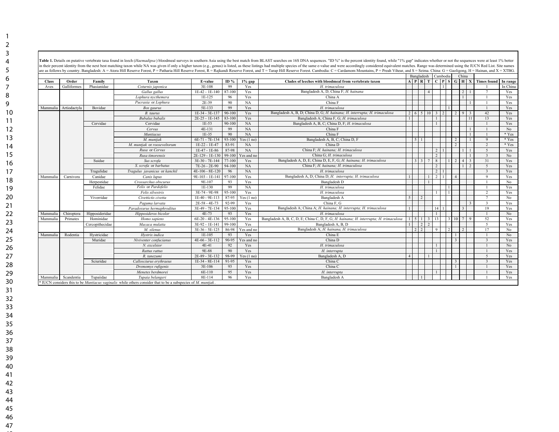| Table 1. Details on putative vertebrate taxa found in leech (Haemadipsa) bloodmeal surveys in southern Asia using the best match from BLAST searches on 16S DNA sequences. "ID %" is the percent identity found, while "1% gap |                           |  |
|--------------------------------------------------------------------------------------------------------------------------------------------------------------------------------------------------------------------------------|---------------------------|--|
| in their percent identity from the next best matching taxon while NA was given if only a higher taxon (e.g., genus) is listed, as these listings had multiple species of the same e-value and were accordingly considered equi |                           |  |
| are as follows by country. Bangladesh: A = Atora Hill Reserve Forest, P = Patharia Hill Reserve Forest, R = Rajkandi Reserve Forest, A = Rajkandi Reserve Forest, and T = Tarap Hill Reserve Forest. Cambodia: C = Cardamom Mo |                           |  |
|                                                                                                                                                                                                                                | Bangladesh Cambodia China |  |

|              |              |                 |                                                                                                                           |                   |            |              |                                                                                       |            | Danglaucsn Camboura Cinna            |            |                |                |             |              |                                                                         |          |
|--------------|--------------|-----------------|---------------------------------------------------------------------------------------------------------------------------|-------------------|------------|--------------|---------------------------------------------------------------------------------------|------------|--------------------------------------|------------|----------------|----------------|-------------|--------------|-------------------------------------------------------------------------|----------|
| <b>Class</b> | Order        | Family          | Taxon                                                                                                                     | E-value           | ID $%$     | $1\%$ gap    | Clades of leeches with bloodmeal from vertebrate taxon                                |            |                                      |            |                |                |             |              | $A$   $P$   $R$   $T$   $C$   $P$   $S$   $G$   $H$   $X$   Times found | In range |
| Aves         | Galliformes  | Phasianidae     | Coturnix japonica                                                                                                         | 3E-108            | 99         | Yes          | H. trimaculosa                                                                        |            |                                      |            |                |                |             |              |                                                                         | In China |
|              |              |                 | Gallus gallus                                                                                                             | 1E-42 - 1E-140    | 87-100     | Yes          | Bangladesh A, D; China F; H. hainana                                                  |            |                                      |            |                |                |             |              |                                                                         | Yes      |
|              |              |                 | Lophura nycthemera                                                                                                        | 1E-125            | 96         | Yes          | China A                                                                               |            |                                      |            |                |                |             |              |                                                                         | Yes      |
|              |              |                 | Pucrasia or Lophura                                                                                                       | 2E-39             | 90         | NA           | China F                                                                               |            |                                      |            |                |                |             |              |                                                                         | Yes      |
| Mammalia     | Artiodactvla | Bovidae         | Bos gaurus                                                                                                                | 5E-133            | 99         | Yes          | H. trimaculosa                                                                        |            |                                      |            |                |                |             |              |                                                                         | Yes      |
|              |              |                 | B. taurus                                                                                                                 | 1E-34 - 3E-137    | $90 - 100$ | Yes          | Bangladesh A, B, D; China D, G; H. hainana; H. interrupta; H. trimaculosa             | $2 \mid 6$ |                                      | 5 1 1 0    |                |                | 9           |              | 42                                                                      | Yes      |
|              |              |                 | <b>Bubalus</b> bubalis                                                                                                    | 2E-25 - 1E-145    | 83-100     | Yes          | Bangladesh A; China F, G; H. trimaculosa                                              |            |                                      |            |                |                |             | 11           | 13                                                                      | Yes      |
|              |              | Cervidae        | Cervidae                                                                                                                  | $1E-53$           | 90-100     | <b>NA</b>    | Bangladesh A, B, C; China D, F; H. trimaculosa                                        |            |                                      |            |                |                |             |              |                                                                         | Yes      |
|              |              |                 | Cervus                                                                                                                    | 4E-131            | 99         | NA           | China F                                                                               |            |                                      |            |                |                |             |              |                                                                         | No       |
|              |              |                 | Muntiacus                                                                                                                 | $1E-35$           | 90         | NA           | China F                                                                               |            |                                      |            |                |                |             |              |                                                                         | * Yes    |
|              |              |                 | M. muntiak                                                                                                                | 6E-71 - 7E-134    | 93-100     | Yes $(1 no)$ | Bangladesh A, B, C; China D, F                                                        |            | 5                                    |            |                |                |             |              |                                                                         | * Yes    |
|              |              |                 | M. muntjak or rooseveltorum                                                                                               | $1E-22 - 1E-47$   | 83-91      | NA           | China D                                                                               |            |                                      |            |                |                |             |              |                                                                         | * Yes    |
|              |              |                 | Rusa or Cervus                                                                                                            | 1E-47 - 1E-86     | 87-98      | NA           | China F: H. hainana: H. trimaculosa                                                   |            |                                      |            |                |                |             |              |                                                                         | Yes      |
|              |              |                 | Rusa timorensis                                                                                                           | 2E-129 - 1E-130   | 99-100     | Yes and no   | China G; H. trimaculosa                                                               |            |                                      |            |                |                |             |              |                                                                         | No       |
|              |              | Suidae          | Sus scrofa                                                                                                                | 3E-30 - 7E-144    | 77-100     | Yes          | Bangladesh A, D, E, China D, E, F, G, H. hainana; H. trimaculosa                      |            | $\ddot{\mathbf{3}}$<br>$\mathcal{E}$ |            | 8              |                |             |              | 31                                                                      | Yes      |
|              |              |                 | S. scrofa or barbatus                                                                                                     | 7E-26 - 2E-90     | 94-100     | NA           | China F; H. hainana; H. trimaculosa                                                   |            |                                      |            | 2              |                |             |              | $\overline{\phantom{0}}$                                                | Yes      |
|              |              | Tragulidae      | Tragulus javanicus or kanchil                                                                                             | $4E-106 - 8E-120$ | 96         | NA           | H. trimaculosa                                                                        |            |                                      |            | 2 <sup>1</sup> |                |             |              | $\mathbf{3}$                                                            | Yes      |
| Mammalia     | Carnivora    | Canidae         | Canis lupus                                                                                                               | 9E-103 - 1E-141   | 97-100     | Yes          | Bangladesh A, D; China D; H. interrupta; H. trimaculosa                               |            |                                      |            |                |                |             |              | $\Omega$                                                                | Yes      |
|              |              | Herpestidae     | Crossarchus obscurus                                                                                                      | 9E-107            | 93         | Yes          | Bangladesh D                                                                          |            |                                      |            |                |                |             |              |                                                                         | No       |
|              |              | Felidae         | Felis or Pardofelis                                                                                                       | 1E-130            | 99         | NA           | H. trimaculosa                                                                        |            |                                      |            |                |                |             |              |                                                                         | Yes      |
|              |              |                 | Felis silvestris                                                                                                          | 3E-74 - 9E-98     | 95-100     | Yes          | H. trimaculosa                                                                        |            |                                      |            |                |                |             |              |                                                                         | Yes      |
|              |              | Viverridae      | Civettictis civetta                                                                                                       | 1E-40 - 9E-113    | 87-95      | Yes(1 no)    | Bangladesh A                                                                          | -5         | $\overline{2}$                       |            |                |                |             |              |                                                                         | No       |
|              |              |                 | Paguma larvata                                                                                                            | $2E-58 - 4E-73$   | 92-99      | Yes          | China F. G                                                                            |            |                                      |            |                |                |             |              |                                                                         | Yes      |
|              |              |                 | Paradoxurus hermaphroditus                                                                                                | 3E-49 - 7E-134    | 95-100     | Yes          | Bangladesh A; China A; H. hainana; H. interrupta; H. trimaculosa                      |            |                                      |            |                |                |             |              | 19                                                                      | Yes      |
| Mammalia     | Chiroptera   | Hipposideridae  | Hipposideros bicolor                                                                                                      | $4E-73$           | 93         | Yes          | H. trimaculosa                                                                        |            |                                      |            |                |                |             |              |                                                                         | No       |
| Mammalia     | Primates     | Hominidae       | Homo sapiens                                                                                                              | $6E-20 - 4E-136$  | 95-100     | Yes          | Bangladesh A, B, C, D, E, China C, D, F, G, H. hainana; H. interrupta; H. trimaculosa |            | 511                                  | $\ddot{3}$ | 13             | $\overline{3}$ | $10 \mid 7$ | $\mathbf{Q}$ | 52                                                                      | Yes      |
|              |              | Cercopithecidae | Macaca mulatta                                                                                                            | 3E-92 - 1E-141    | 99-100     | Yes          | Bangladesh A, B, D                                                                    |            | $\overline{2}$                       |            |                |                |             |              | $\overline{\phantom{0}}$                                                | Yes      |
|              |              |                 | M. silenus                                                                                                                | $3E-36 - 5E-125$  | 86-98      | Yes and no   | Bangladesh A; H. hainana, H. trimaculosa                                              |            | $\overline{2}$<br>$\overline{2}$     |            |                |                |             |              | 17                                                                      | No       |
| Mammalia     | Rodentia     | Hystricidae     | Hystrix indica                                                                                                            | 1E-105            | 93         | Yes          | China E                                                                               |            |                                      |            |                |                |             |              |                                                                         | No       |
|              |              | Muridae         | Niviventer confucianus                                                                                                    | $4E-66 - 3E-112$  | 90-95      | Yes and no   | China D                                                                               |            |                                      |            |                |                |             |              |                                                                         | Yes      |
|              |              |                 | N. excelsior                                                                                                              | $4E-41$           | 92         | Yes          | H. trimaculosa                                                                        |            |                                      |            |                |                |             |              |                                                                         | No       |
|              |              |                 | Rattus rattus                                                                                                             | 9E-88             | 90         | Yes          | H. interrupta                                                                         |            |                                      |            |                |                |             |              |                                                                         | Yes      |
|              |              |                 | R. tanezumi                                                                                                               | 2E-89 - 3E-132    | 98-99      | Yes $(1 no)$ | Bangladesh A, D                                                                       |            |                                      |            |                |                |             |              | $\sim$                                                                  | Yes      |
|              |              | Sciuridae       | Callosciurus erythraeus                                                                                                   | 1E-34 - 8E-114    | 91-95      | Yes          | China C                                                                               |            |                                      |            |                |                |             |              | $\mathcal{R}$                                                           | Yes      |
|              |              |                 | Dremomys rufigenis                                                                                                        | 3E-106            | 93         | Yes          | China C                                                                               |            |                                      |            |                |                |             |              |                                                                         | Yes      |
|              |              |                 | Menetes berdmorei                                                                                                         | 6E-110            | 95         | Yes          | H. interrupta                                                                         |            |                                      |            |                |                |             |              |                                                                         | Yes      |
| Mammalia     | Scandentia   | Tupaiidae       | Tupaia belangeri                                                                                                          | 8E-114            | 96         | Yes          | Bangladesh A                                                                          |            |                                      |            |                |                |             |              |                                                                         | Yes      |
|              |              |                 | * IUCN considers this to be <i>Muntiacus vaginalis</i> while others consider that to be a subspecies of <i>M. muntiak</i> |                   |            |              |                                                                                       |            |                                      |            |                |                |             |              |                                                                         |          |
|              |              |                 |                                                                                                                           |                   |            |              |                                                                                       |            |                                      |            |                |                |             |              |                                                                         |          |